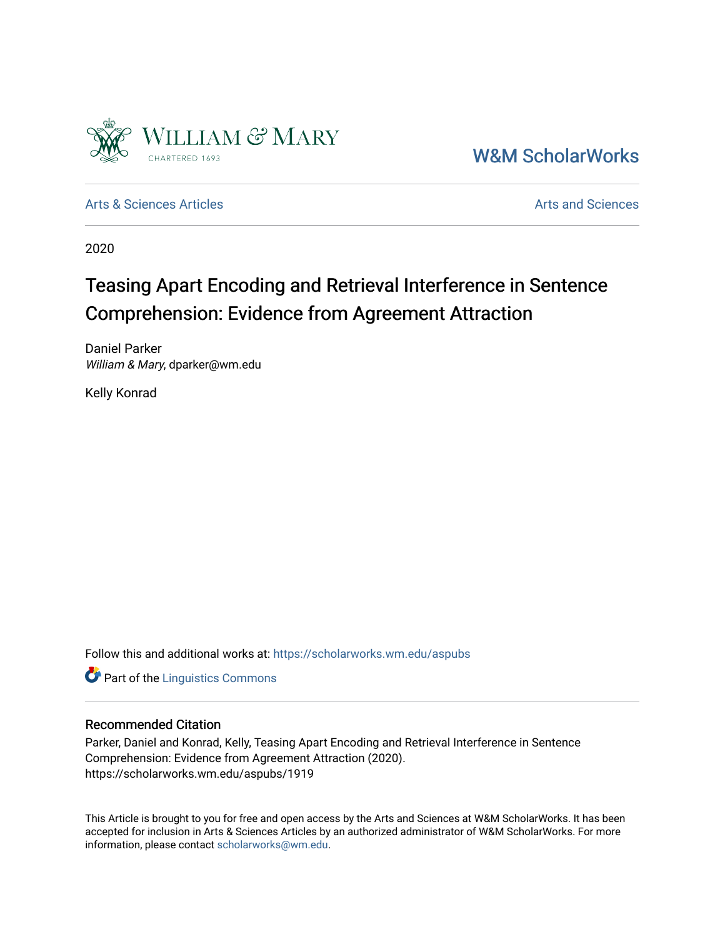

[W&M ScholarWorks](https://scholarworks.wm.edu/) 

[Arts & Sciences Articles](https://scholarworks.wm.edu/aspubs) **Articles** [Arts and Sciences](https://scholarworks.wm.edu/as) Arts and Sciences

2020

# Teasing Apart Encoding and Retrieval Interference in Sentence Comprehension: Evidence from Agreement Attraction

Daniel Parker William & Mary, dparker@wm.edu

Kelly Konrad

Follow this and additional works at: [https://scholarworks.wm.edu/aspubs](https://scholarworks.wm.edu/aspubs?utm_source=scholarworks.wm.edu%2Faspubs%2F1919&utm_medium=PDF&utm_campaign=PDFCoverPages) 

**Part of the Linguistics Commons** 

## Recommended Citation

Parker, Daniel and Konrad, Kelly, Teasing Apart Encoding and Retrieval Interference in Sentence Comprehension: Evidence from Agreement Attraction (2020). https://scholarworks.wm.edu/aspubs/1919

This Article is brought to you for free and open access by the Arts and Sciences at W&M ScholarWorks. It has been accepted for inclusion in Arts & Sciences Articles by an authorized administrator of W&M ScholarWorks. For more information, please contact [scholarworks@wm.edu](mailto:scholarworks@wm.edu).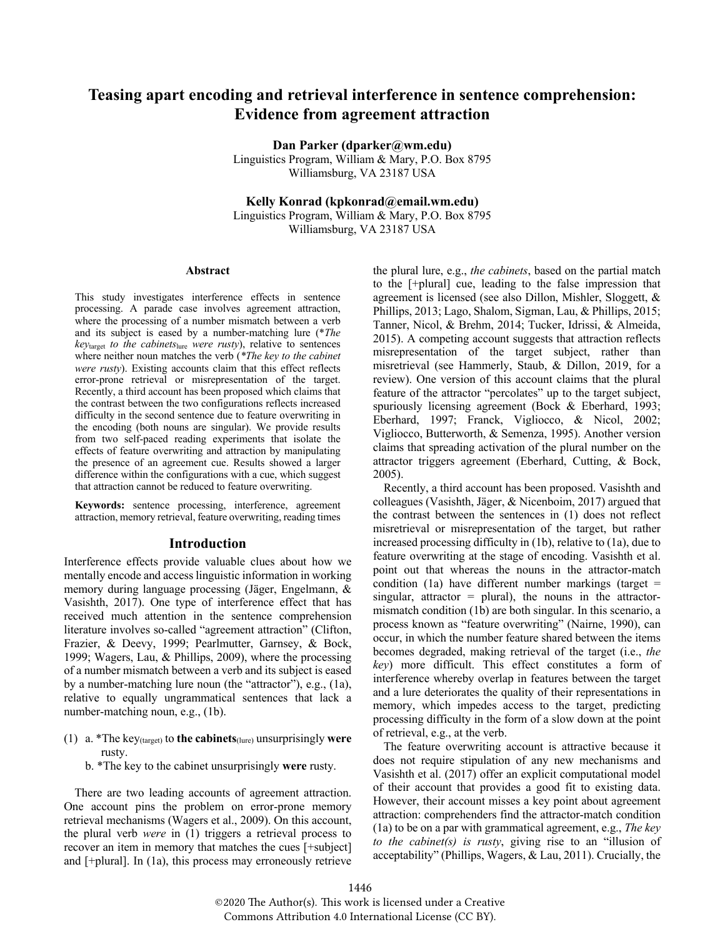# **Teasing apart encoding and retrieval interference in sentence comprehension: Evidence from agreement attraction**

**Dan Parker (dparker@wm.edu)** Linguistics Program, William & Mary, P.O. Box 8795 Williamsburg, VA 23187 USA

**Kelly Konrad (kpkonrad@email.wm.edu)**

Linguistics Program, William & Mary, P.O. Box 8795 Williamsburg, VA 23187 USA

#### **Abstract**

This study investigates interference effects in sentence processing. A parade case involves agreement attraction, where the processing of a number mismatch between a verb and its subject is eased by a number-matching lure (\**The key*target *to the cabinets*lure *were rusty*), relative to sentences where neither noun matches the verb (*\*The key to the cabinet were rusty*). Existing accounts claim that this effect reflects error-prone retrieval or misrepresentation of the target. Recently, a third account has been proposed which claims that the contrast between the two configurations reflects increased difficulty in the second sentence due to feature overwriting in the encoding (both nouns are singular). We provide results from two self-paced reading experiments that isolate the effects of feature overwriting and attraction by manipulating the presence of an agreement cue. Results showed a larger difference within the configurations with a cue, which suggest that attraction cannot be reduced to feature overwriting.

**Keywords:** sentence processing, interference, agreement attraction, memory retrieval, feature overwriting, reading times

#### **Introduction**

Interference effects provide valuable clues about how we mentally encode and access linguistic information in working memory during language processing (Jäger, Engelmann, & Vasishth, 2017). One type of interference effect that has received much attention in the sentence comprehension literature involves so-called "agreement attraction" (Clifton, Frazier, & Deevy, 1999; Pearlmutter, Garnsey, & Bock, 1999; Wagers, Lau, & Phillips, 2009), where the processing of a number mismatch between a verb and its subject is eased by a number-matching lure noun (the "attractor"), e.g., (1a), relative to equally ungrammatical sentences that lack a number-matching noun, e.g., (1b).

- (1) a. \*The key(target) to **the cabinets**(lure) unsurprisingly **were**  rusty.
	- b. \*The key to the cabinet unsurprisingly **were** rusty.

There are two leading accounts of agreement attraction. One account pins the problem on error-prone memory retrieval mechanisms (Wagers et al., 2009). On this account, the plural verb *were* in (1) triggers a retrieval process to recover an item in memory that matches the cues [+subject] and [+plural]. In (1a), this process may erroneously retrieve the plural lure, e.g., *the cabinets*, based on the partial match to the [+plural] cue, leading to the false impression that agreement is licensed (see also Dillon, Mishler, Sloggett, & Phillips, 2013; Lago, Shalom, Sigman, Lau, & Phillips, 2015; Tanner, Nicol, & Brehm, 2014; Tucker, Idrissi, & Almeida, 2015). A competing account suggests that attraction reflects misrepresentation of the target subject, rather than misretrieval (see Hammerly, Staub, & Dillon, 2019, for a review). One version of this account claims that the plural feature of the attractor "percolates" up to the target subject, spuriously licensing agreement (Bock & Eberhard, 1993; Eberhard, 1997; Franck, Vigliocco, & Nicol, 2002; Vigliocco, Butterworth, & Semenza, 1995). Another version claims that spreading activation of the plural number on the attractor triggers agreement (Eberhard, Cutting, & Bock, 2005).

Recently, a third account has been proposed. Vasishth and colleagues (Vasishth, Jäger, & Nicenboim, 2017) argued that the contrast between the sentences in (1) does not reflect misretrieval or misrepresentation of the target, but rather increased processing difficulty in (1b), relative to (1a), due to feature overwriting at the stage of encoding. Vasishth et al. point out that whereas the nouns in the attractor-match condition (1a) have different number markings (target  $=$ singular, attractor = plural), the nouns in the attractormismatch condition (1b) are both singular. In this scenario, a process known as "feature overwriting" (Nairne, 1990), can occur, in which the number feature shared between the items becomes degraded, making retrieval of the target (i.e., *the key*) more difficult. This effect constitutes a form of interference whereby overlap in features between the target and a lure deteriorates the quality of their representations in memory, which impedes access to the target, predicting processing difficulty in the form of a slow down at the point of retrieval, e.g., at the verb.

The feature overwriting account is attractive because it does not require stipulation of any new mechanisms and Vasishth et al. (2017) offer an explicit computational model of their account that provides a good fit to existing data. However, their account misses a key point about agreement attraction: comprehenders find the attractor-match condition (1a) to be on a par with grammatical agreement, e.g., *The key to the cabinet(s) is rusty*, giving rise to an "illusion of acceptability" (Phillips, Wagers, & Lau, 2011). Crucially, the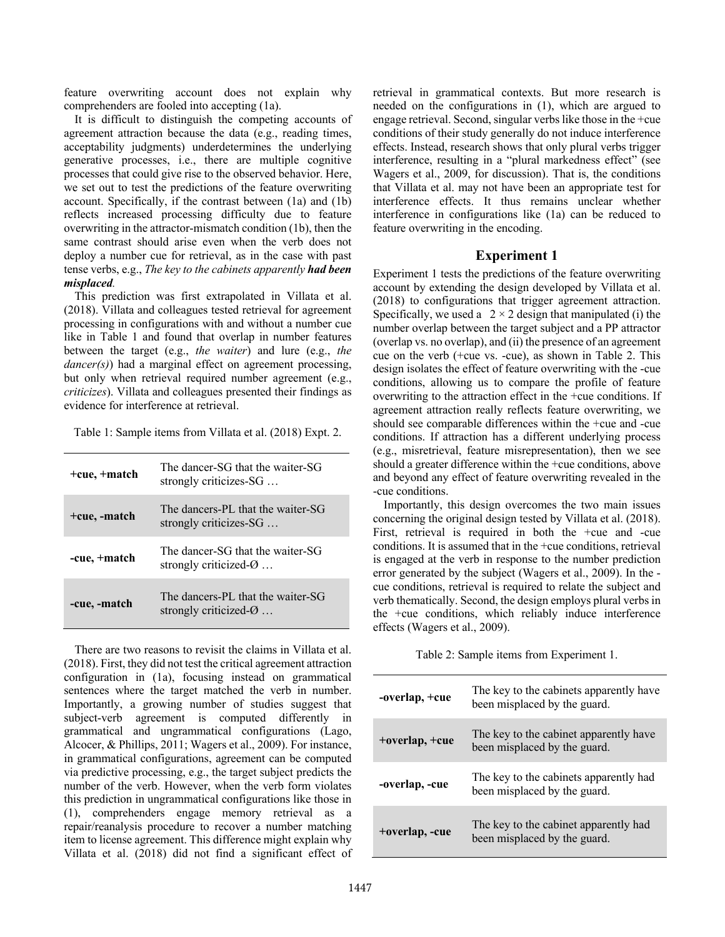feature overwriting account does not explain why comprehenders are fooled into accepting (1a).

It is difficult to distinguish the competing accounts of agreement attraction because the data (e.g., reading times, acceptability judgments) underdetermines the underlying generative processes, i.e., there are multiple cognitive processes that could give rise to the observed behavior. Here, we set out to test the predictions of the feature overwriting account. Specifically, if the contrast between (1a) and (1b) reflects increased processing difficulty due to feature overwriting in the attractor-mismatch condition (1b), then the same contrast should arise even when the verb does not deploy a number cue for retrieval, as in the case with past tense verbs, e.g., *The key to the cabinets apparently had been misplaced.*

This prediction was first extrapolated in Villata et al. (2018). Villata and colleagues tested retrieval for agreement processing in configurations with and without a number cue like in Table 1 and found that overlap in number features between the target (e.g., *the waiter*) and lure (e.g., *the dancer(s)*) had a marginal effect on agreement processing, but only when retrieval required number agreement (e.g., *criticizes*). Villata and colleagues presented their findings as evidence for interference at retrieval.

Table 1: Sample items from Villata et al. (2018) Expt. 2.

| $+cu$ e, $+$ match | The dancer-SG that the waiter-SG<br>strongly criticizes-SG              |
|--------------------|-------------------------------------------------------------------------|
| +cue, -match       | The dancers-PL that the waiter-SG<br>strongly criticizes-SG             |
| -cue, +match       | The dancer-SG that the waiter-SG<br>strongly criticized- $\varnothing$  |
| -cue, -match       | The dancers-PL that the waiter-SG<br>strongly criticized- $\varnothing$ |

There are two reasons to revisit the claims in Villata et al. (2018). First, they did not test the critical agreement attraction configuration in (1a), focusing instead on grammatical sentences where the target matched the verb in number. Importantly, a growing number of studies suggest that subject-verb agreement is computed differently in grammatical and ungrammatical configurations (Lago, Alcocer, & Phillips, 2011; Wagers et al., 2009). For instance, in grammatical configurations, agreement can be computed via predictive processing, e.g., the target subject predicts the number of the verb. However, when the verb form violates this prediction in ungrammatical configurations like those in (1), comprehenders engage memory retrieval as a repair/reanalysis procedure to recover a number matching item to license agreement. This difference might explain why Villata et al. (2018) did not find a significant effect of retrieval in grammatical contexts. But more research is needed on the configurations in (1), which are argued to engage retrieval. Second, singular verbs like those in the +cue conditions of their study generally do not induce interference effects. Instead, research shows that only plural verbs trigger interference, resulting in a "plural markedness effect" (see Wagers et al., 2009, for discussion). That is, the conditions that Villata et al. may not have been an appropriate test for interference effects. It thus remains unclear whether interference in configurations like (1a) can be reduced to feature overwriting in the encoding.

#### **Experiment 1**

Experiment 1 tests the predictions of the feature overwriting account by extending the design developed by Villata et al. (2018) to configurations that trigger agreement attraction. Specifically, we used a  $2 \times 2$  design that manipulated (i) the number overlap between the target subject and a PP attractor (overlap vs. no overlap), and (ii) the presence of an agreement cue on the verb (+cue vs. -cue), as shown in Table 2. This design isolates the effect of feature overwriting with the -cue conditions, allowing us to compare the profile of feature overwriting to the attraction effect in the +cue conditions. If agreement attraction really reflects feature overwriting, we should see comparable differences within the +cue and -cue conditions. If attraction has a different underlying process (e.g., misretrieval, feature misrepresentation), then we see should a greater difference within the +cue conditions, above and beyond any effect of feature overwriting revealed in the -cue conditions.

Importantly, this design overcomes the two main issues concerning the original design tested by Villata et al. (2018). First, retrieval is required in both the +cue and -cue conditions. It is assumed that in the +cue conditions, retrieval is engaged at the verb in response to the number prediction error generated by the subject (Wagers et al., 2009). In the cue conditions, retrieval is required to relate the subject and verb thematically. Second, the design employs plural verbs in the +cue conditions, which reliably induce interference effects (Wagers et al., 2009).

Table 2: Sample items from Experiment 1.

| -overlap, +cue | The key to the cabinets apparently have<br>been misplaced by the guard. |
|----------------|-------------------------------------------------------------------------|
| +overlap, +cue | The key to the cabinet apparently have<br>been misplaced by the guard.  |
| -overlap, -cue | The key to the cabinets apparently had<br>been misplaced by the guard.  |
| +overlap, -cue | The key to the cabinet apparently had<br>been misplaced by the guard.   |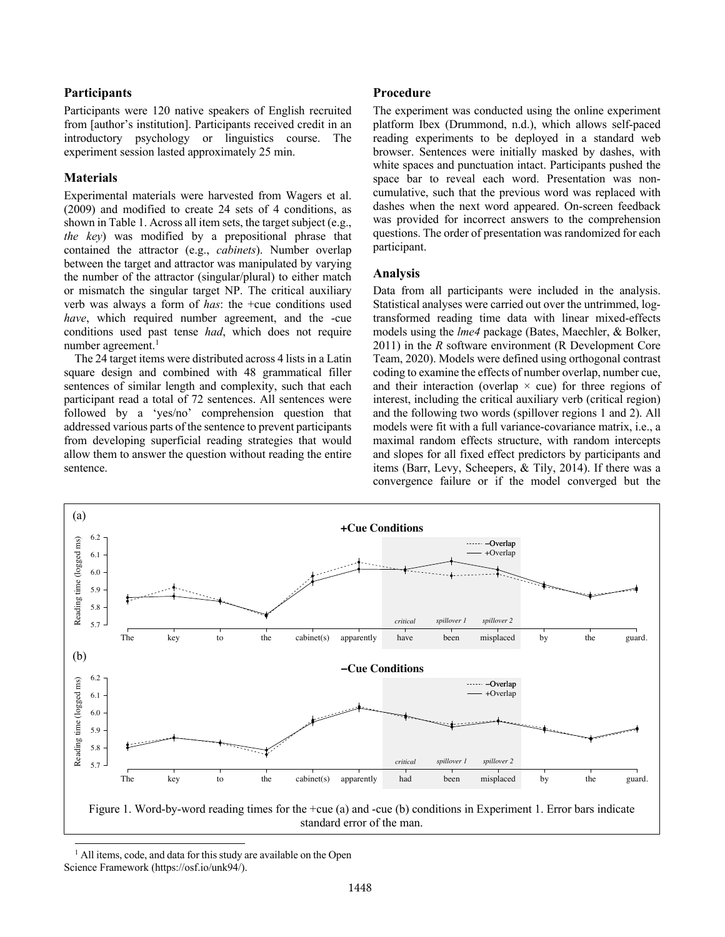#### **Participants**

Participants were 120 native speakers of English recruited from [author's institution]. Participants received credit in an introductory psychology or linguistics course. The experiment session lasted approximately 25 min.

#### **Materials**

Experimental materials were harvested from Wagers et al. (2009) and modified to create 24 sets of 4 conditions, as shown in Table 1. Across all item sets, the target subject (e.g., *the key*) was modified by a prepositional phrase that contained the attractor (e.g., *cabinets*). Number overlap between the target and attractor was manipulated by varying the number of the attractor (singular/plural) to either match or mismatch the singular target NP. The critical auxiliary verb was always a form of *has*: the +cue conditions used *have*, which required number agreement, and the -cue conditions used past tense *had*, which does not require number agreement.<sup>1</sup>

The 24 target items were distributed across 4 lists in a Latin square design and combined with 48 grammatical filler sentences of similar length and complexity, such that each participant read a total of 72 sentences. All sentences were followed by a 'yes/no' comprehension question that addressed various parts of the sentence to prevent participants from developing superficial reading strategies that would allow them to answer the question without reading the entire sentence.

#### **Procedure**

The experiment was conducted using the online experiment platform Ibex (Drummond, n.d.), which allows self-paced reading experiments to be deployed in a standard web browser. Sentences were initially masked by dashes, with white spaces and punctuation intact. Participants pushed the space bar to reveal each word. Presentation was noncumulative, such that the previous word was replaced with dashes when the next word appeared. On-screen feedback was provided for incorrect answers to the comprehension questions. The order of presentation was randomized for each participant.

#### **Analysis**

Data from all participants were included in the analysis. Statistical analyses were carried out over the untrimmed, logtransformed reading time data with linear mixed-effects models using the *lme4* package (Bates, Maechler, & Bolker, 2011) in the *R* software environment (R Development Core Team, 2020). Models were defined using orthogonal contrast coding to examine the effects of number overlap, number cue, and their interaction (overlap  $\times$  cue) for three regions of interest, including the critical auxiliary verb (critical region) and the following two words (spillover regions 1 and 2). All models were fit with a full variance-covariance matrix, i.e., a maximal random effects structure, with random intercepts and slopes for all fixed effect predictors by participants and items (Barr, Levy, Scheepers, & Tily, 2014). If there was a convergence failure or if the model converged but the



 $<sup>1</sup>$  All items, code, and data for this study are available on the Open</sup> Science Framework (https://osf.io/unk94/).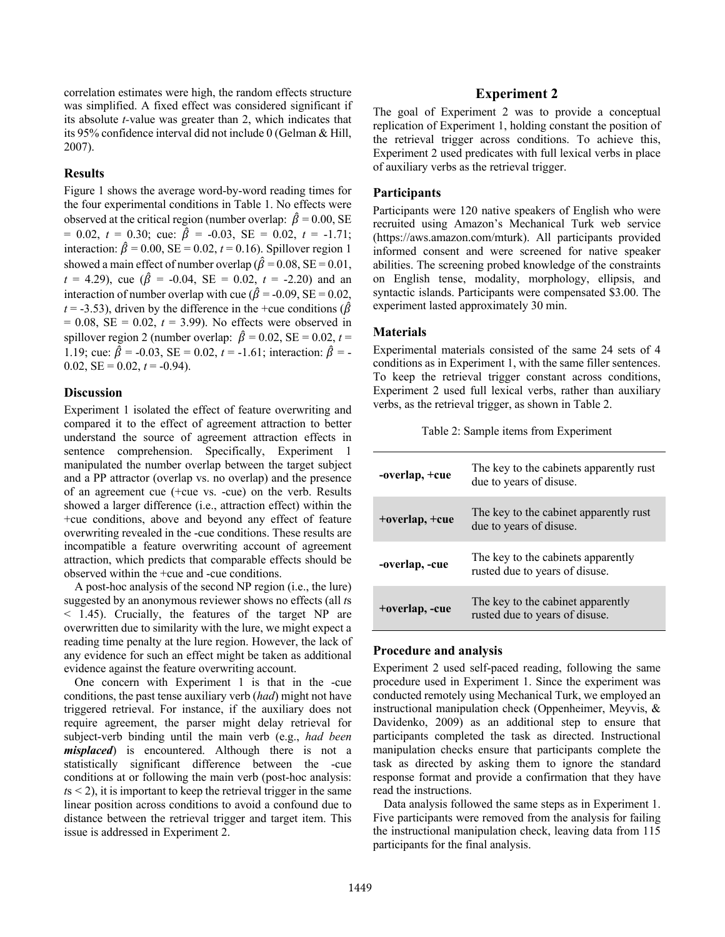correlation estimates were high, the random effects structure was simplified. A fixed effect was considered significant if its absolute *t-*value was greater than 2, which indicates that its 95% confidence interval did not include 0 (Gelman & Hill, 2007).

#### **Results**

Figure 1 shows the average word-by-word reading times for the four experimental conditions in Table 1. No effects were observed at the critical region (number overlap:  $\hat{\beta} = 0.00$ , SE  $= 0.02, t = 0.30;$  cue:  $\hat{\beta} = -0.03, SE = 0.02, t = -1.71;$ interaction:  $\hat{\beta} = 0.00$ , SE = 0.02,  $t = 0.16$ ). Spillover region 1 showed a main effect of number overlap ( $\hat{\beta} = 0.08$ , SE = 0.01,  $t = 4.29$ , cue ( $\hat{\beta} = -0.04$ , SE = 0.02,  $t = -2.20$ ) and an interaction of number overlap with cue ( $\hat{\beta} = -0.09$ , SE = 0.02,  $t = -3.53$ ), driven by the difference in the +cue conditions ( $\hat{\beta}$ )  $= 0.08$ , SE  $= 0.02$ ,  $t = 3.99$ ). No effects were observed in spillover region 2 (number overlap:  $\hat{\beta} = 0.02$ , SE = 0.02, t = 1.19; cue:  $\hat{\beta} = -0.03$ , SE = 0.02, t = -1.61; interaction:  $\hat{\beta}$  = -0.02,  $SE = 0.02$ ,  $t = -0.94$ ).

#### **Discussion**

Experiment 1 isolated the effect of feature overwriting and compared it to the effect of agreement attraction to better understand the source of agreement attraction effects in sentence comprehension. Specifically, Experiment 1 manipulated the number overlap between the target subject and a PP attractor (overlap vs. no overlap) and the presence of an agreement cue (+cue vs. -cue) on the verb. Results showed a larger difference (i.e., attraction effect) within the +cue conditions, above and beyond any effect of feature overwriting revealed in the -cue conditions. These results are incompatible a feature overwriting account of agreement attraction, which predicts that comparable effects should be observed within the +cue and -cue conditions.

A post-hoc analysis of the second NP region (i.e., the lure) suggested by an anonymous reviewer shows no effects (all *t*s < 1.45). Crucially, the features of the target NP are overwritten due to similarity with the lure, we might expect a reading time penalty at the lure region. However, the lack of any evidence for such an effect might be taken as additional evidence against the feature overwriting account.

One concern with Experiment 1 is that in the -cue conditions, the past tense auxiliary verb (*had*) might not have triggered retrieval. For instance, if the auxiliary does not require agreement, the parser might delay retrieval for subject-verb binding until the main verb (e.g., *had been misplaced*) is encountered. Although there is not a statistically significant difference between the -cue conditions at or following the main verb (post-hoc analysis:  $t s < 2$ ), it is important to keep the retrieval trigger in the same linear position across conditions to avoid a confound due to distance between the retrieval trigger and target item. This issue is addressed in Experiment 2.

### **Experiment 2**

The goal of Experiment 2 was to provide a conceptual replication of Experiment 1, holding constant the position of the retrieval trigger across conditions. To achieve this, Experiment 2 used predicates with full lexical verbs in place of auxiliary verbs as the retrieval trigger.

#### **Participants**

Participants were 120 native speakers of English who were recruited using Amazon's Mechanical Turk web service (https://aws.amazon.com/mturk). All participants provided informed consent and were screened for native speaker abilities. The screening probed knowledge of the constraints on English tense, modality, morphology, ellipsis, and syntactic islands. Participants were compensated \$3.00. The experiment lasted approximately 30 min.

#### **Materials**

Experimental materials consisted of the same 24 sets of 4 conditions as in Experiment 1, with the same filler sentences. To keep the retrieval trigger constant across conditions, Experiment 2 used full lexical verbs, rather than auxiliary verbs, as the retrieval trigger, as shown in Table 2.

|  |  |  |  | Table 2: Sample items from Experiment |
|--|--|--|--|---------------------------------------|
|--|--|--|--|---------------------------------------|

| -overlap, +cue | The key to the cabinets apparently rust<br>due to years of disuse.   |  |  |
|----------------|----------------------------------------------------------------------|--|--|
| +overlap, +cue | The key to the cabinet apparently rust<br>due to years of disuse.    |  |  |
| -overlap, -cue | The key to the cabinets apparently<br>rusted due to years of disuse. |  |  |
| +overlap, -cue | The key to the cabinet apparently<br>rusted due to years of disuse.  |  |  |

#### **Procedure and analysis**

Experiment 2 used self-paced reading, following the same procedure used in Experiment 1. Since the experiment was conducted remotely using Mechanical Turk, we employed an instructional manipulation check (Oppenheimer, Meyvis, & Davidenko, 2009) as an additional step to ensure that participants completed the task as directed. Instructional manipulation checks ensure that participants complete the task as directed by asking them to ignore the standard response format and provide a confirmation that they have read the instructions.

Data analysis followed the same steps as in Experiment 1. Five participants were removed from the analysis for failing the instructional manipulation check, leaving data from 115 participants for the final analysis.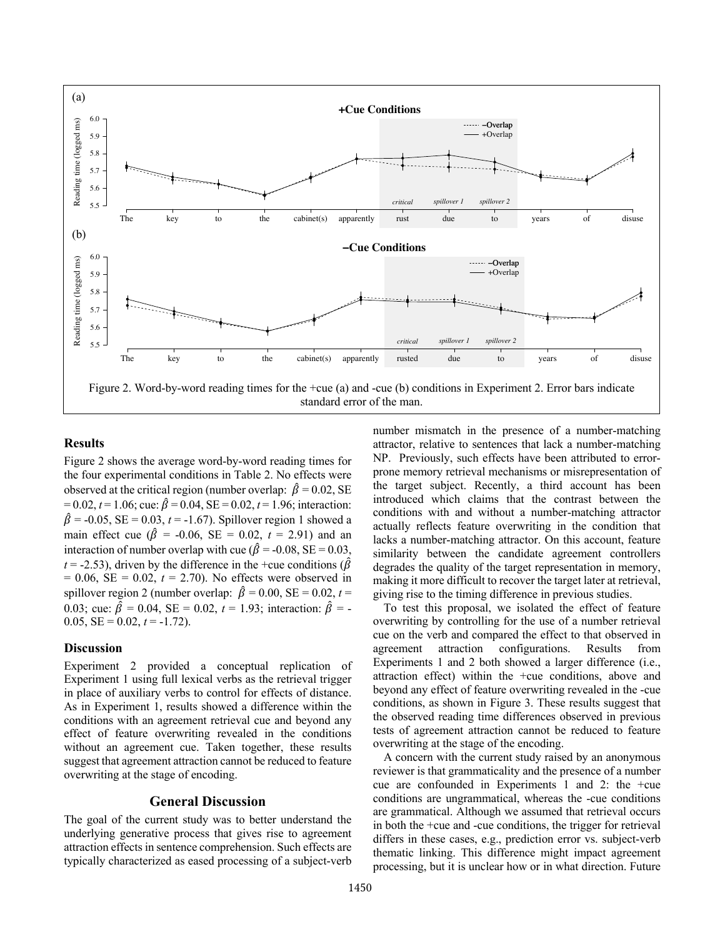

standard error of the man.

#### **Results**

Figure 2 shows the average word-by-word reading times for the four experimental conditions in Table 2. No effects were observed at the critical region (number overlap:  $\hat{\beta} = 0.02$ , SE  $= 0.02$ ,  $t = 1.06$ ; cue:  $\hat{\beta} = 0.04$ , SE = 0.02,  $t = 1.96$ ; interaction:  $\hat{\beta} = -0.05$ , SE = 0.03, t = -1.67). Spillover region 1 showed a main effect cue ( $\hat{\beta}$  = -0.06, SE = 0.02, *t* = 2.91) and an interaction of number overlap with cue ( $\hat{\beta} = -0.08$ , SE = 0.03,  $t = -2.53$ ), driven by the difference in the +cue conditions ( $\hat{\beta}$ )  $= 0.06$ , SE  $= 0.02$ ,  $t = 2.70$ ). No effects were observed in spillover region 2 (number overlap:  $\hat{\beta} = 0.00$ , SE = 0.02, t = 0.03; cue:  $\hat{\beta} = 0.04$ , SE = 0.02,  $t = 1.93$ ; interaction:  $\hat{\beta} = -$ 0.05,  $SE = 0.02$ ,  $t = -1.72$ ).

#### **Discussion**

Experiment 2 provided a conceptual replication of Experiment 1 using full lexical verbs as the retrieval trigger in place of auxiliary verbs to control for effects of distance. As in Experiment 1, results showed a difference within the conditions with an agreement retrieval cue and beyond any effect of feature overwriting revealed in the conditions without an agreement cue. Taken together, these results suggest that agreement attraction cannot be reduced to feature overwriting at the stage of encoding.

#### **General Discussion**

The goal of the current study was to better understand the underlying generative process that gives rise to agreement attraction effects in sentence comprehension. Such effects are typically characterized as eased processing of a subject-verb number mismatch in the presence of a number-matching attractor, relative to sentences that lack a number-matching NP. Previously, such effects have been attributed to errorprone memory retrieval mechanisms or misrepresentation of the target subject. Recently, a third account has been introduced which claims that the contrast between the conditions with and without a number-matching attractor actually reflects feature overwriting in the condition that lacks a number-matching attractor. On this account, feature similarity between the candidate agreement controllers degrades the quality of the target representation in memory, making it more difficult to recover the target later at retrieval, giving rise to the timing difference in previous studies.

To test this proposal, we isolated the effect of feature overwriting by controlling for the use of a number retrieval cue on the verb and compared the effect to that observed in agreement attraction configurations. Results from Experiments 1 and 2 both showed a larger difference (i.e., attraction effect) within the +cue conditions, above and beyond any effect of feature overwriting revealed in the -cue conditions, as shown in Figure 3. These results suggest that the observed reading time differences observed in previous tests of agreement attraction cannot be reduced to feature overwriting at the stage of the encoding.

A concern with the current study raised by an anonymous reviewer is that grammaticality and the presence of a number cue are confounded in Experiments 1 and 2: the +cue conditions are ungrammatical, whereas the -cue conditions are grammatical. Although we assumed that retrieval occurs in both the +cue and -cue conditions, the trigger for retrieval differs in these cases, e.g., prediction error vs. subject-verb thematic linking. This difference might impact agreement processing, but it is unclear how or in what direction. Future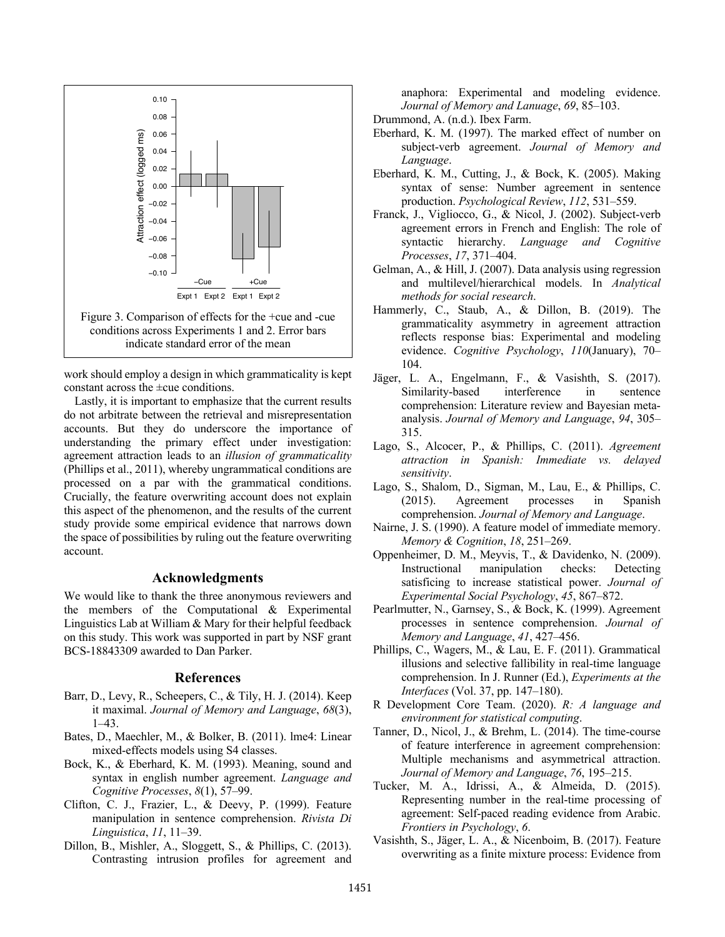

work should employ a design in which grammaticality is kept constant across the ±cue conditions.

Lastly, it is important to emphasize that the current results do not arbitrate between the retrieval and misrepresentation accounts. But they do underscore the importance of understanding the primary effect under investigation: agreement attraction leads to an *illusion of grammaticality* (Phillips et al., 2011), whereby ungrammatical conditions are processed on a par with the grammatical conditions. Crucially, the feature overwriting account does not explain this aspect of the phenomenon, and the results of the current study provide some empirical evidence that narrows down the space of possibilities by ruling out the feature overwriting account.

#### **Acknowledgments**

We would like to thank the three anonymous reviewers and the members of the Computational & Experimental Linguistics Lab at William & Mary for their helpful feedback on this study. This work was supported in part by NSF grant BCS-18843309 awarded to Dan Parker.

#### **References**

- Barr, D., Levy, R., Scheepers, C., & Tily, H. J. (2014). Keep it maximal. *Journal of Memory and Language*, *68*(3), 1–43.
- Bates, D., Maechler, M., & Bolker, B. (2011). lme4: Linear mixed-effects models using S4 classes.
- Bock, K., & Eberhard, K. M. (1993). Meaning, sound and syntax in english number agreement. *Language and Cognitive Processes*, *8*(1), 57–99.
- Clifton, C. J., Frazier, L., & Deevy, P. (1999). Feature manipulation in sentence comprehension. *Rivista Di Linguistica*, *11*, 11–39.
- Dillon, B., Mishler, A., Sloggett, S., & Phillips, C. (2013). Contrasting intrusion profiles for agreement and

anaphora: Experimental and modeling evidence. *Journal of Memory and Lanuage*, *69*, 85–103.

- Drummond, A. (n.d.). Ibex Farm.
- Eberhard, K. M. (1997). The marked effect of number on subject-verb agreement. *Journal of Memory and Language*.
- Eberhard, K. M., Cutting, J., & Bock, K. (2005). Making syntax of sense: Number agreement in sentence production. *Psychological Review*, *112*, 531–559.
- Franck, J., Vigliocco, G., & Nicol, J. (2002). Subject-verb agreement errors in French and English: The role of syntactic hierarchy. *Language and Cognitive Processes*, *17*, 371–404.
- Gelman, A., & Hill, J. (2007). Data analysis using regression and multilevel/hierarchical models. In *Analytical methods for social research*.
- Hammerly, C., Staub, A., & Dillon, B. (2019). The grammaticality asymmetry in agreement attraction reflects response bias: Experimental and modeling evidence. *Cognitive Psychology*, *110*(January), 70– 104.
- Jäger, L. A., Engelmann, F., & Vasishth, S. (2017). Similarity-based interference in sentence comprehension: Literature review and Bayesian metaanalysis. *Journal of Memory and Language*, *94*, 305– 315.
- Lago, S., Alcocer, P., & Phillips, C. (2011). *Agreement attraction in Spanish: Immediate vs. delayed sensitivity*.
- Lago, S., Shalom, D., Sigman, M., Lau, E., & Phillips, C. (2015). Agreement processes in Spanish comprehension. *Journal of Memory and Language*.
- Nairne, J. S. (1990). A feature model of immediate memory. *Memory & Cognition*, *18*, 251–269.
- Oppenheimer, D. M., Meyvis, T., & Davidenko, N. (2009). Instructional manipulation checks: Detecting satisficing to increase statistical power. *Journal of Experimental Social Psychology*, *45*, 867–872.
- Pearlmutter, N., Garnsey, S., & Bock, K. (1999). Agreement processes in sentence comprehension. *Journal of Memory and Language*, *41*, 427–456.
- Phillips, C., Wagers, M., & Lau, E. F. (2011). Grammatical illusions and selective fallibility in real-time language comprehension. In J. Runner (Ed.), *Experiments at the Interfaces* (Vol. 37, pp. 147–180).
- R Development Core Team. (2020). *R: A language and environment for statistical computing*.
- Tanner, D., Nicol, J., & Brehm, L. (2014). The time-course of feature interference in agreement comprehension: Multiple mechanisms and asymmetrical attraction. *Journal of Memory and Language*, *76*, 195–215.
- Tucker, M. A., Idrissi, A., & Almeida, D. (2015). Representing number in the real-time processing of agreement: Self-paced reading evidence from Arabic. *Frontiers in Psychology*, *6*.
- Vasishth, S., Jäger, L. A., & Nicenboim, B. (2017). Feature overwriting as a finite mixture process: Evidence from